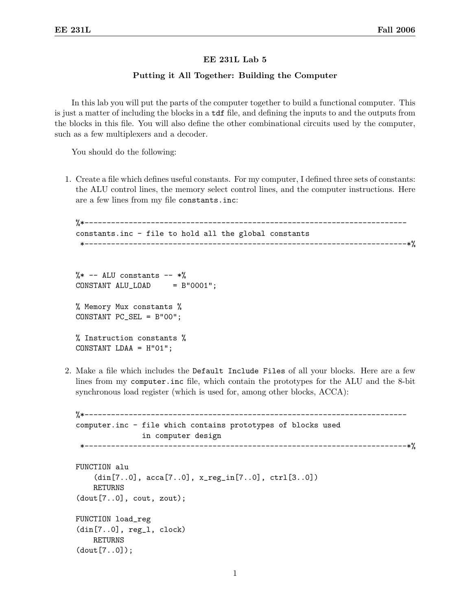## EE 231L Lab 5

## Putting it All Together: Building the Computer

In this lab you will put the parts of the computer together to build a functional computer. This is just a matter of including the blocks in a tdf file, and defining the inputs to and the outputs from the blocks in this file. You will also define the other combinational circuits used by the computer, such as a few multiplexers and a decoder.

You should do the following:

1. Create a file which defines useful constants. For my computer, I defined three sets of constants: the ALU control lines, the memory select control lines, and the computer instructions. Here are a few lines from my file constants.inc:

```
%*-------------------------------------------------------------------------
constants.inc - file to hold all the global constants
 *-------------------------------------------------------------------------*%
```
 $\frac{9}{8}$  -- ALU constants -- \*% CONSTANT ALU\_LOAD = B"0001"; % Memory Mux constants % CONSTANT PC\_SEL = B"00"; % Instruction constants % CONSTANT LDAA = H"01";

2. Make a file which includes the Default Include Files of all your blocks. Here are a few lines from my computer.inc file, which contain the prototypes for the ALU and the 8-bit synchronous load register (which is used for, among other blocks, ACCA):

```
%*-------------------------------------------------------------------------
computer.inc - file which contains prototypes of blocks used
                  in computer design
                                                  *-------------------------------------------------------------------------*%
FUNCTION alu
     (din[7..0], acca[7..0], x_reg_in[7..0], ctrl[3..0])
    RETURNS
(dout[7..0], \text{ cout}, \text{zout});FUNCTION load_reg
(din[7..0], reg_l, clock)
    RETURNS
(dout[7..0]);
```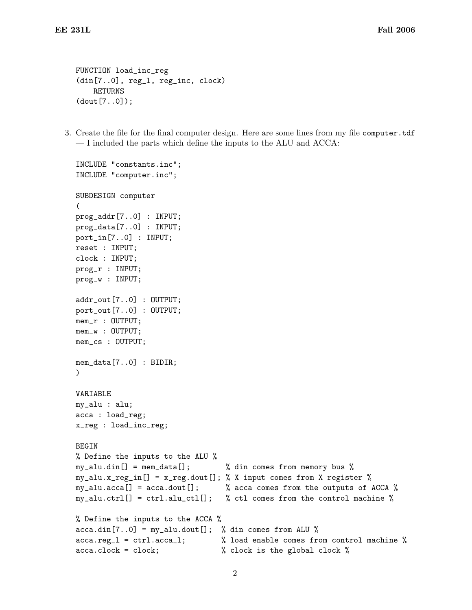FUNCTION load\_inc\_reg (din[7..0], reg\_l, reg\_inc, clock) RETURNS (dout[7..0]);

3. Create the file for the final computer design. Here are some lines from my file computer.tdf — I included the parts which define the inputs to the ALU and ACCA:

```
INCLUDE "constants.inc";
INCLUDE "computer.inc";
SUBDESIGN computer
(
prog_addr[7..0] : INPUT;
prog_data[7..0] : INPUT;
port_in[7..0] : INPUT;
reset : INPUT;
clock : INPUT;
prog_r : INPUT;
prog_w : INPUT;
addr_out[7..0] : OUTPUT;
port_out[7..0] : OUTPUT;
mem_r : OUTPUT;
mem_w : OUTPUT;
mem_cs : OUTPUT;
mem_data[7..0] : BIDIR;
)
VARIABLE
my_alu : alu;
acca : load_reg;
x_reg : load_inc_reg;
BEGIN
% Define the inputs to the ALU %
my_alu.din[] = mem_data[]; % din comes from memory bus %
my_alu.x_reg_in[] = x_reg.dout[]; % X input comes from X register %
my_alu.acca[] = acca.dout[]; % acca comes from the outputs of ACCA %
my_alu.ctrl[] = ctrl.alu_ctl[]; % ctl comes from the control machine %
% Define the inputs to the ACCA %
acca.dim[7..0] = my_alu.dout[]; % din comes from ALU %
acca.reg_l = ctrl.acca_l; % load enable comes from control machine %
acca.clock = clock; % clock is the global clock %
```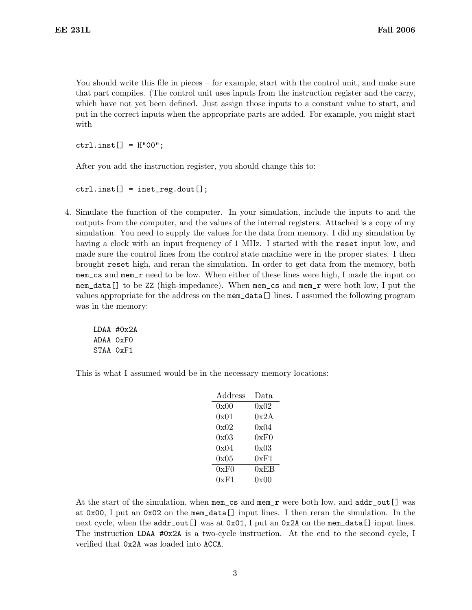You should write this file in pieces – for example, start with the control unit, and make sure that part compiles. (The control unit uses inputs from the instruction register and the carry, which have not yet been defined. Just assign those inputs to a constant value to start, and put in the correct inputs when the appropriate parts are added. For example, you might start with

 $ctrl.insert[] = H"00";$ 

After you add the instruction register, you should change this to:

```
ctrl.insert[] = inst_reg.dot[];
```
4. Simulate the function of the computer. In your simulation, include the inputs to and the outputs from the computer, and the values of the internal registers. Attached is a copy of my simulation. You need to supply the values for the data from memory. I did my simulation by having a clock with an input frequency of 1 MHz. I started with the reset input low, and made sure the control lines from the control state machine were in the proper states. I then brought reset high, and reran the simulation. In order to get data from the memory, both mem\_cs and mem\_r need to be low. When either of these lines were high, I made the input on mem\_data[] to be ZZ (high-impedance). When mem\_cs and mem\_r were both low, I put the values appropriate for the address on the mem\_data[] lines. I assumed the following program was in the memory:

```
LDAA #0x2A
ADAA 0xF0
STAA 0xF1
```
This is what I assumed would be in the necessary memory locations:

| $\rm Address$ | Data |
|---------------|------|
| 0x00          | 0x02 |
| 0x01          | 0x2A |
| 0x02          | 0x04 |
| 0x03          | 0xF0 |
| 0x04          | 0x03 |
| 0x05          | 0xF1 |
| 0xF0          | 0xEB |
| 0xF1          | 0x00 |
|               |      |

At the start of the simulation, when mem\_cs and mem\_r were both low, and addr\_out[] was at 0x00, I put an 0x02 on the mem\_data[] input lines. I then reran the simulation. In the next cycle, when the  $addr\_out[]$  was at 0x01, I put an 0x2A on the mem\_data[] input lines. The instruction LDAA #0x2A is a two-cycle instruction. At the end to the second cycle, I verified that 0x2A was loaded into ACCA.